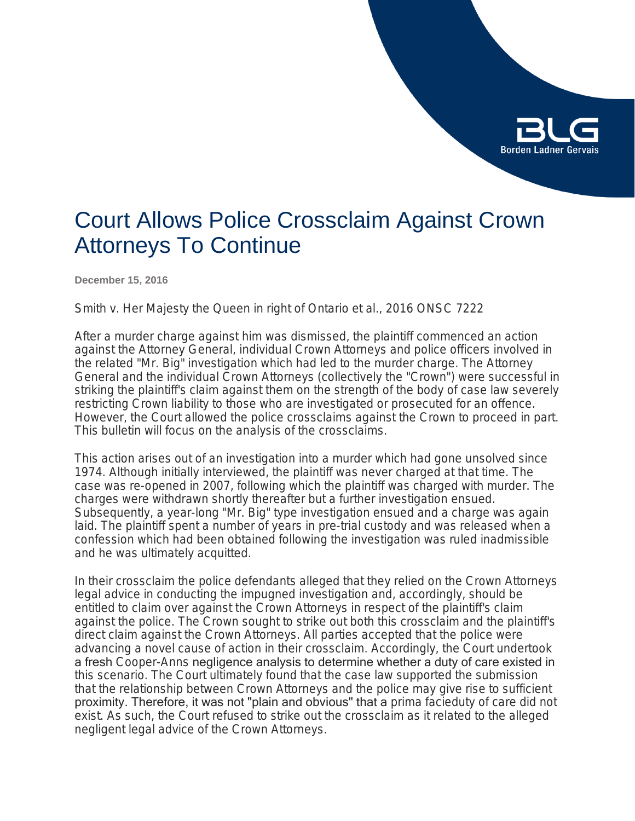

# Court Allows Police Crossclaim Against Crown Attorneys To Continue

**December 15, 2016**

*Smith v. Her Majesty the Queen in right of Ontario et al*., 2016 ONSC 7222

After a murder charge against him was dismissed, the plaintiff commenced an action against the Attorney General, individual Crown Attorneys and police officers involved in the related "Mr. Big" investigation which had led to the murder charge. The Attorney General and the individual Crown Attorneys (collectively the "Crown") were successful in striking the plaintiff's claim against them on the strength of the body of case law severely restricting Crown liability to those who are investigated or prosecuted for an offence. However, the Court allowed the police crossclaims against the Crown to proceed in part. This bulletin will focus on the analysis of the crossclaims.

This action arises out of an investigation into a murder which had gone unsolved since 1974. Although initially interviewed, the plaintiff was never charged at that time. The case was re-opened in 2007, following which the plaintiff was charged with murder. The charges were withdrawn shortly thereafter but a further investigation ensued. Subsequently, a year-long "Mr. Big" type investigation ensued and a charge was again laid. The plaintiff spent a number of years in pre-trial custody and was released when a confession which had been obtained following the investigation was ruled inadmissible and he was ultimately acquitted.

In their crossclaim the police defendants alleged that they relied on the Crown Attorneys legal advice in conducting the impugned investigation and, accordingly, should be entitled to claim over against the Crown Attorneys in respect of the plaintiff's claim against the police. The Crown sought to strike out both this crossclaim and the plaintiff's direct claim against the Crown Attorneys. All parties accepted that the police were advancing a novel cause of action in their crossclaim. Accordingly, the Court undertook a fresh *Cooper-Anns* negligence analysis to determine whether a duty of care existed in this scenario. The Court ultimately found that the case law supported the submission that the relationship between Crown Attorneys and the police may give rise to sufficient proximity. Therefore, it was not "plain and obvious" that a *prima facie*duty of care did not exist. As such, the Court refused to strike out the crossclaim as it related to the alleged negligent legal advice of the Crown Attorneys.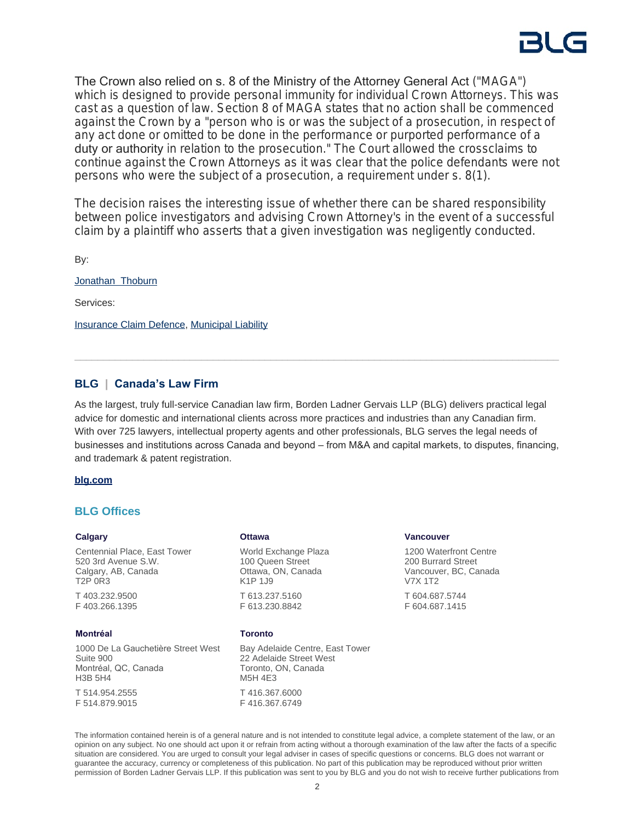The Crown also relied on s. 8 of the Ministry of the Attorney General Act ("MAGA") which is designed to provide personal immunity for individual Crown Attorneys. This was cast as a question of law. Section 8 of MAGA states that no action shall be commenced against the Crown by a "*person who is or was the subject of a prosecution*, in respect of any act done or omitted to be done in the performance or purported performance of a duty or authority *in relation to the prosecution*." The Court allowed the crossclaims to continue against the Crown Attorneys as it was clear that the police defendants were not persons who were the subject of a prosecution, a requirement under s. 8(1).

The decision raises the interesting issue of whether there can be shared responsibility between police investigators and advising Crown Attorney's in the event of a successful claim by a plaintiff who asserts that a given investigation was negligently conducted.

By:

[Jonathan Thoburn](https://www.blg.com/en/people/t/thoburn-jonathan)

Services:

**[Insurance Claim Defence,](https://www.blg.com/en/services/practice-areas/disputes/insurance-claim-defence) [Municipal Liability](https://www.blg.com/en/services/practice-areas/disputes/municipal-liability)** 

# **BLG | Canada's Law Firm**

As the largest, truly full-service Canadian law firm, Borden Ladner Gervais LLP (BLG) delivers practical legal advice for domestic and international clients across more practices and industries than any Canadian firm. With over 725 lawyers, intellectual property agents and other professionals, BLG serves the legal needs of businesses and institutions across Canada and beyond – from M&A and capital markets, to disputes, financing, and trademark & patent registration.

### **[blg.com](http://www.blg.com)**

## **BLG Offices**

#### **Calgary**

Centennial Place, East Tower 520 3rd Avenue S.W. Calgary, AB, Canada T2P 0R3 T 403.232.9500

F 403.266.1395

### **Montréal**

1000 De La Gauchetière Street West Suite 900 Montréal, QC, Canada H3B 5H4

T 514.954.2555 F 514.879.9015

### **Ottawa**

World Exchange Plaza 100 Queen Street Ottawa, ON, Canada K1P 1J9 T 613.237.5160 F 613.230.8842

#### **Toronto**

Bay Adelaide Centre, East Tower 22 Adelaide Street West Toronto, ON, Canada M5H 4E3 T 416.367.6000 F 416.367.6749

#### **Vancouver**

1200 Waterfront Centre 200 Burrard Street Vancouver, BC, Canada V7X 1T2 T 604.687.5744 F 604.687.1415

The information contained herein is of a general nature and is not intended to constitute legal advice, a complete statement of the law, or an opinion on any subject. No one should act upon it or refrain from acting without a thorough examination of the law after the facts of a specific situation are considered. You are urged to consult your legal adviser in cases of specific questions or concerns. BLG does not warrant or guarantee the accuracy, currency or completeness of this publication. No part of this publication may be reproduced without prior written permission of Borden Ladner Gervais LLP. If this publication was sent to you by BLG and you do not wish to receive further publications from